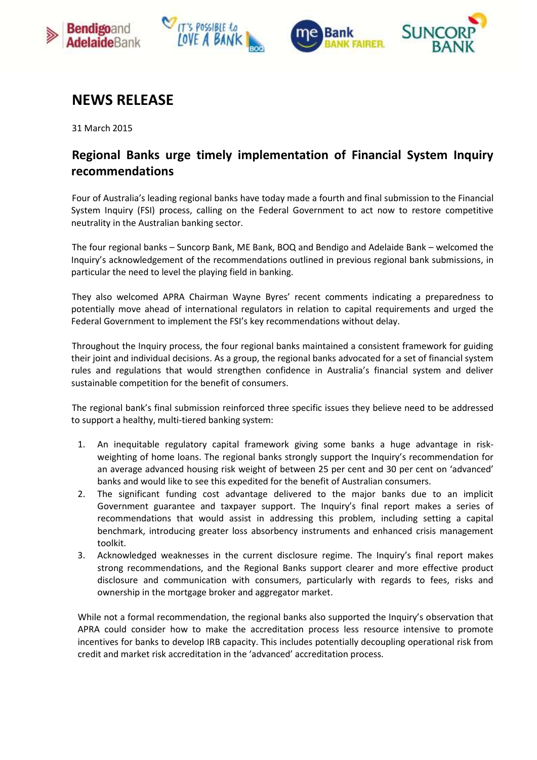







# **NEWS RELEASE**

31 March 2015

# **Regional Banks urge timely implementation of Financial System Inquiry recommendations**

Four of Australia's leading regional banks have today made a fourth and final submission to the Financial System Inquiry (FSI) process, calling on the Federal Government to act now to restore competitive neutrality in the Australian banking sector.

The four regional banks – Suncorp Bank, ME Bank, BOQ and Bendigo and Adelaide Bank – welcomed the Inquiry's acknowledgement of the recommendations outlined in previous regional bank submissions, in particular the need to level the playing field in banking.

They also welcomed APRA Chairman Wayne Byres' recent comments indicating a preparedness to potentially move ahead of international regulators in relation to capital requirements and urged the Federal Government to implement the FSI's key recommendations without delay.

Throughout the Inquiry process, the four regional banks maintained a consistent framework for guiding their joint and individual decisions. As a group, the regional banks advocated for a set of financial system rules and regulations that would strengthen confidence in Australia's financial system and deliver sustainable competition for the benefit of consumers.

The regional bank's final submission reinforced three specific issues they believe need to be addressed to support a healthy, multi-tiered banking system:

- 1. An inequitable regulatory capital framework giving some banks a huge advantage in riskweighting of home loans. The regional banks strongly support the Inquiry's recommendation for an average advanced housing risk weight of between 25 per cent and 30 per cent on 'advanced' banks and would like to see this expedited for the benefit of Australian consumers.
- 2. The significant funding cost advantage delivered to the major banks due to an implicit Government guarantee and taxpayer support. The Inquiry's final report makes a series of recommendations that would assist in addressing this problem, including setting a capital benchmark, introducing greater loss absorbency instruments and enhanced crisis management toolkit.
- 3. Acknowledged weaknesses in the current disclosure regime. The Inquiry's final report makes strong recommendations, and the Regional Banks support clearer and more effective product disclosure and communication with consumers, particularly with regards to fees, risks and ownership in the mortgage broker and aggregator market.

While not a formal recommendation, the regional banks also supported the Inquiry's observation that APRA could consider how to make the accreditation process less resource intensive to promote incentives for banks to develop IRB capacity. This includes potentially decoupling operational risk from credit and market risk accreditation in the 'advanced' accreditation process.